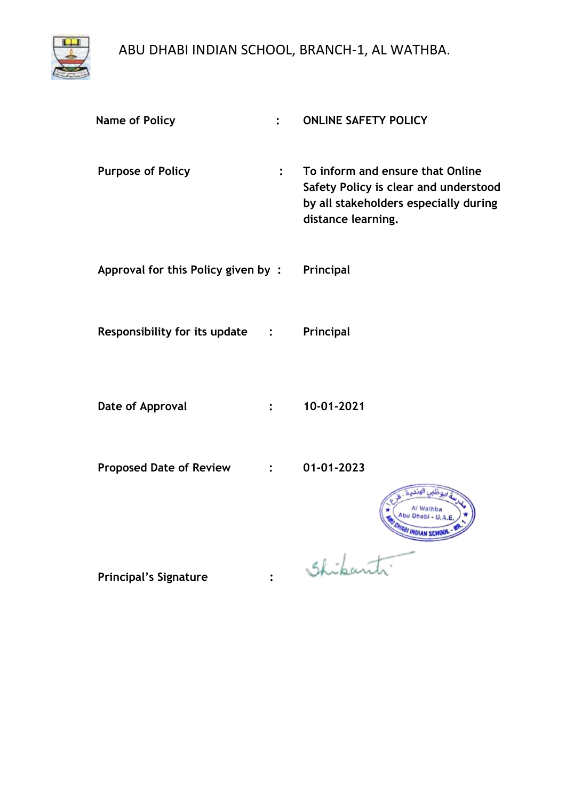

| <b>Name of Policy</b>              |                | <b>ONLINE SAFETY POLICY</b>                                                                                                              |
|------------------------------------|----------------|------------------------------------------------------------------------------------------------------------------------------------------|
| <b>Purpose of Policy</b>           | $\ddot{\cdot}$ | To inform and ensure that Online<br>Safety Policy is clear and understood<br>by all stakeholders especially during<br>distance learning. |
| Approval for this Policy given by: |                | Principal                                                                                                                                |
| Responsibility for its update :    |                | Principal                                                                                                                                |
| Date of Approval                   |                | 10-01-2021                                                                                                                               |
| <b>Proposed Date of Review</b>     |                | 01-01-2023                                                                                                                               |
|                                    |                |                                                                                                                                          |

**Principal's Signature :**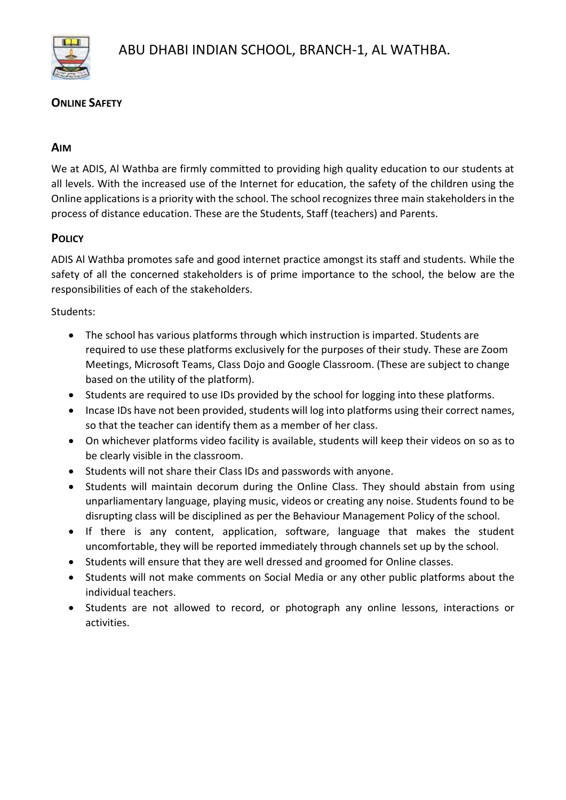

### **ONLINE SAFETY**

#### **AIM**

We at ADIS, Al Wathba are firmly committed to providing high quality education to our students at all levels. With the increased use of the Internet for education, the safety of the children using the Online applications is a priority with the school. The school recognizes three main stakeholders in the process of distance education. These are the Students, Staff (teachers) and Parents.

# **POLICY**

ADIS Al Wathba promotes safe and good internet practice amongst its staff and students. While the safety of all the concerned stakeholders is of prime importance to the school, the below are the responsibilities of each of the stakeholders.

#### Students:

- The school has various platforms through which instruction is imparted. Students are required to use these platforms exclusively for the purposes of their study. These are Zoom Meetings, Microsoft Teams, Class Dojo and Google Classroom. (These are subject to change based on the utility of the platform).
- Students are required to use IDs provided by the school for logging into these platforms.
- Incase IDs have not been provided, students will log into platforms using their correct names, so that the teacher can identify them as a member of her class.
- On whichever platforms video facility is available, students will keep their videos on so as to be clearly visible in the classroom.
- Students will not share their Class IDs and passwords with anyone.
- Students will maintain decorum during the Online Class. They should abstain from using unparliamentary language, playing music, videos or creating any noise. Students found to be disrupting class will be disciplined as per the Behaviour Management Policy of the school.
- If there is any content, application, software, language that makes the student uncomfortable, they will be reported immediately through channels set up by the school.
- Students will ensure that they are well dressed and groomed for Online classes.
- Students will not make comments on Social Media or any other public platforms about the individual teachers.
- Students are not allowed to record, or photograph any online lessons, interactions or activities.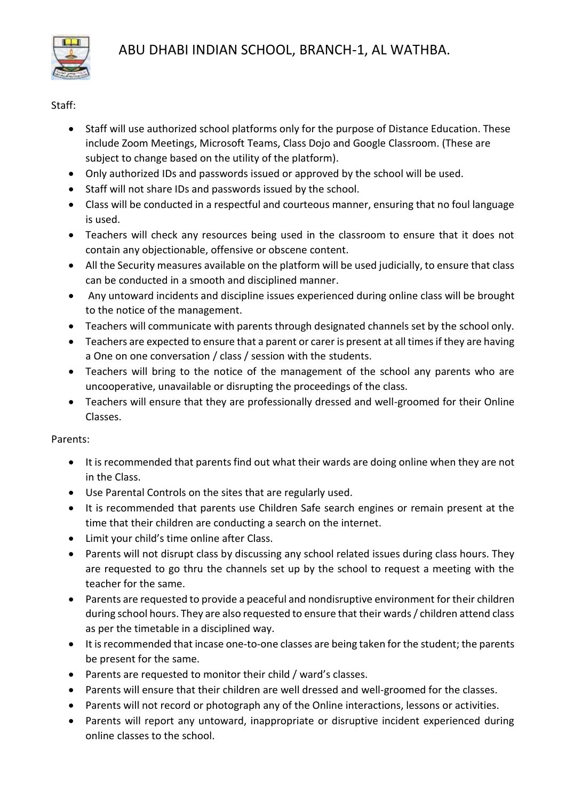

### Staff:

- Staff will use authorized school platforms only for the purpose of Distance Education. These include Zoom Meetings, Microsoft Teams, Class Dojo and Google Classroom. (These are subject to change based on the utility of the platform).
- Only authorized IDs and passwords issued or approved by the school will be used.
- Staff will not share IDs and passwords issued by the school.
- Class will be conducted in a respectful and courteous manner, ensuring that no foul language is used.
- Teachers will check any resources being used in the classroom to ensure that it does not contain any objectionable, offensive or obscene content.
- All the Security measures available on the platform will be used judicially, to ensure that class can be conducted in a smooth and disciplined manner.
- Any untoward incidents and discipline issues experienced during online class will be brought to the notice of the management.
- Teachers will communicate with parents through designated channels set by the school only.
- Teachers are expected to ensure that a parent or carer is present at all times if they are having a One on one conversation / class / session with the students.
- Teachers will bring to the notice of the management of the school any parents who are uncooperative, unavailable or disrupting the proceedings of the class.
- Teachers will ensure that they are professionally dressed and well-groomed for their Online Classes.

# Parents:

- It is recommended that parents find out what their wards are doing online when they are not in the Class.
- Use Parental Controls on the sites that are regularly used.
- It is recommended that parents use Children Safe search engines or remain present at the time that their children are conducting a search on the internet.
- Limit your child's time online after Class.
- Parents will not disrupt class by discussing any school related issues during class hours. They are requested to go thru the channels set up by the school to request a meeting with the teacher for the same.
- Parents are requested to provide a peaceful and nondisruptive environment for their children during school hours. They are also requested to ensure that their wards / children attend class as per the timetable in a disciplined way.
- It is recommended that incase one-to-one classes are being taken for the student; the parents be present for the same.
- Parents are requested to monitor their child / ward's classes.
- Parents will ensure that their children are well dressed and well-groomed for the classes.
- Parents will not record or photograph any of the Online interactions, lessons or activities.
- Parents will report any untoward, inappropriate or disruptive incident experienced during online classes to the school.